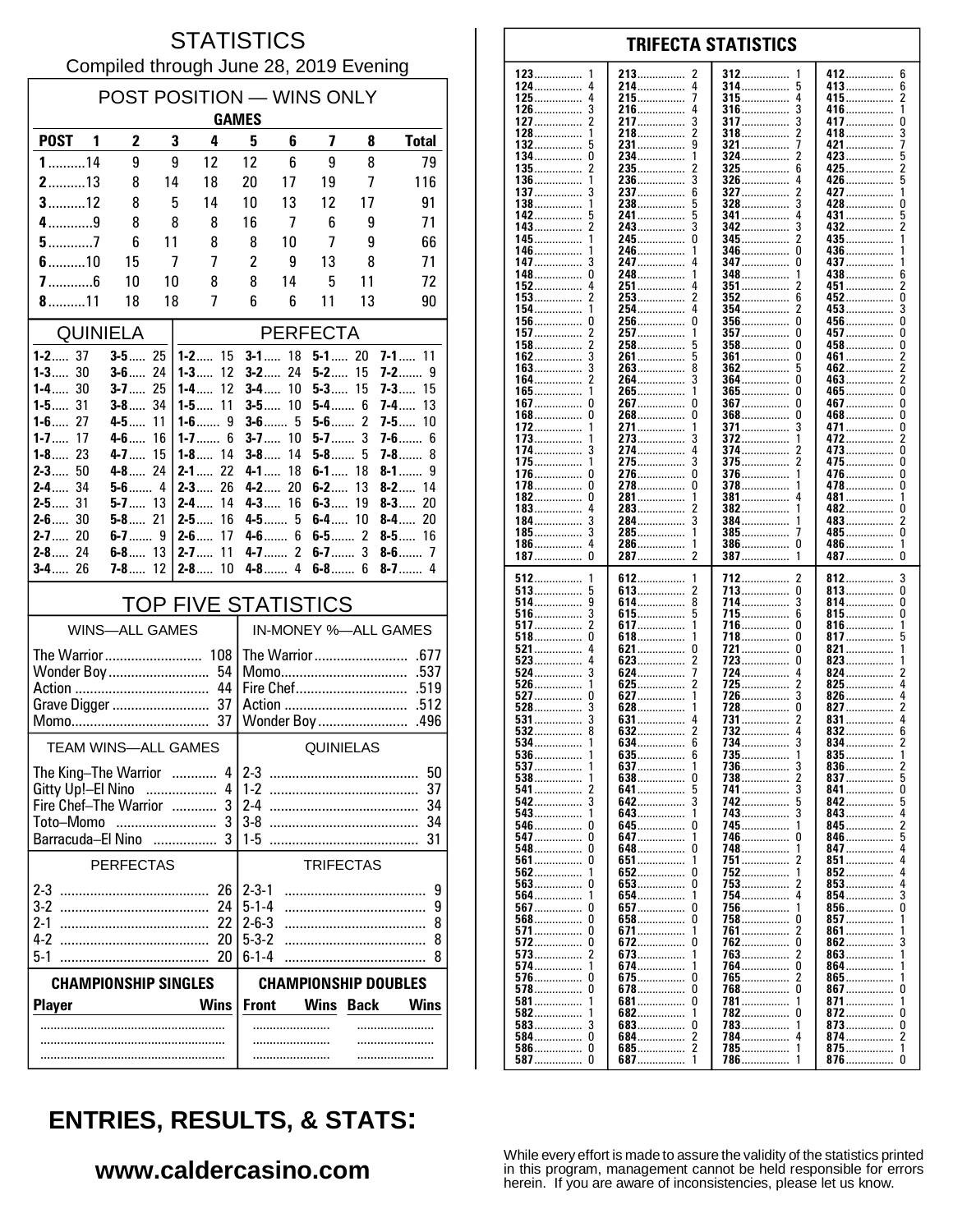#### **STATISTICS** Compiled through June 28, 2019 Evening

| <b>POST</b><br>$\mathbf{2}$<br>3<br><b>Total</b><br>1<br>4<br>5<br>6<br>7<br>8<br>9<br>$1$ 14<br>9<br>12<br>12<br>6<br>9<br>8<br>79<br>213<br>20<br>116<br>8<br>14<br>18<br>19<br>7<br>17<br>$3$ 12<br>8<br>5<br>14<br>10<br>13<br>12<br>17<br>91<br>$4$ 9<br>8<br>8<br>8<br>16<br>7<br>6<br>71<br>9<br>$5$ 7<br>7<br>6<br>11<br>8<br>8<br>10<br>9<br>66<br>$6$ 10<br>$\overline{c}$<br>7<br>7<br>9<br>15<br>13<br>8<br>71<br>$7$ 6<br>10<br>10<br>8<br>8<br>14<br>5<br>72<br>11<br>$8$ 11<br>18<br>7<br>6<br>6<br>11<br>13<br>90<br>18<br><b>QUINIELA</b><br><b>PERFECTA</b><br>$1 - 2$ 37<br>$3 - 5$ 25<br>$1 - 2$ 15<br>$3 - 1$ 18<br>$5-1$ 20<br>$7 - 1$ 11<br>$1 - 3$ 30<br>$3 - 6$ 24<br>$1 - 3$<br>$3 - 2$ 24<br>$5 - 2$ 15<br>12<br>7-2……<br>9<br>$1 - 4$ 30<br>$3 - 7$ 25<br>12<br>$5 - 3$ 15<br>1-4……<br>$3-4$<br>10<br>$7 - 3$ 15<br>$1 - 5$ 31<br>$3 - 8$ 34<br>11<br>10<br>5-4 6<br>1-5……<br>3-5<br>7-4…<br>13<br>$\overline{c}$<br>27<br>$1-6$<br>9<br>$3 - 6$ 5<br>$1 - 6$<br>$4-5$<br>11<br>$5-6$<br>$7-5$<br>10<br>3<br>$1 - 7$<br>17<br>$4 - 6$<br>6<br>$3-7$<br>$5-7$<br>$7-6$<br>16<br>10<br>6<br>$1-8$<br>23<br>$1 - 8$ 14<br>$3 - 8$<br>14<br>$5-8$<br>4-7<br>15<br>5<br>7-8<br>8<br>$2 - 3$ 50<br>4-8 24<br>$2 - 1$ 22<br>$4 - 1$<br>18<br>$6-1$ 18<br>8-1<br>9<br>34<br>$2-3$<br>26<br>$4 - 2$<br>20<br>$6 - 2$<br>13<br>2-4<br>$8-2$<br>14<br>$2 - 5$ 31<br>$5 - 7$ 13<br>$2 - 4$<br>14<br>$4 - 3$ 16<br>$6 - 3$<br>$8 - 3$ 20<br>19<br>$2 - 6$ 30<br>$5 - 8$ 21<br>$2 - 5$<br>16<br>4-5………5<br>6-4……<br>10<br>$8 - 4$ 20<br>$2 - 7$ 20<br>$6 - 7$ 9<br>$2 - 6$<br>$4-6$<br>6<br>$6 - 5$ 2<br>17<br><b>8-5</b> 16<br>$\mathfrak{p}$<br>3<br>$2 - 8$ 24<br>11<br>6-8 13<br>$2 - 7$<br>$4 - 7$<br>$6-7$<br>$3 - 4$ 26<br>$7 - 8$ 12<br>$2 - 8$<br>10<br>$4-8$<br>4<br>$6-8$<br>6<br>$8-7$<br>4<br><b>TOP FIVE STATISTICS</b><br>IN-MONEY %-ALL GAMES<br><b>WINS-ALL GAMES</b> | POST POSITION - WINS ONLY<br><b>GAMES</b> |  |                 |  |  |  |  |
|------------------------------------------------------------------------------------------------------------------------------------------------------------------------------------------------------------------------------------------------------------------------------------------------------------------------------------------------------------------------------------------------------------------------------------------------------------------------------------------------------------------------------------------------------------------------------------------------------------------------------------------------------------------------------------------------------------------------------------------------------------------------------------------------------------------------------------------------------------------------------------------------------------------------------------------------------------------------------------------------------------------------------------------------------------------------------------------------------------------------------------------------------------------------------------------------------------------------------------------------------------------------------------------------------------------------------------------------------------------------------------------------------------------------------------------------------------------------------------------------------------------------------------------------------------------------------------------------------------------------------------------------------------------------------------------------------------------------------------------------------------------------------------------------------------------------------------------------------------------------------------------------------|-------------------------------------------|--|-----------------|--|--|--|--|
|                                                                                                                                                                                                                                                                                                                                                                                                                                                                                                                                                                                                                                                                                                                                                                                                                                                                                                                                                                                                                                                                                                                                                                                                                                                                                                                                                                                                                                                                                                                                                                                                                                                                                                                                                                                                                                                                                                      |                                           |  |                 |  |  |  |  |
|                                                                                                                                                                                                                                                                                                                                                                                                                                                                                                                                                                                                                                                                                                                                                                                                                                                                                                                                                                                                                                                                                                                                                                                                                                                                                                                                                                                                                                                                                                                                                                                                                                                                                                                                                                                                                                                                                                      |                                           |  |                 |  |  |  |  |
|                                                                                                                                                                                                                                                                                                                                                                                                                                                                                                                                                                                                                                                                                                                                                                                                                                                                                                                                                                                                                                                                                                                                                                                                                                                                                                                                                                                                                                                                                                                                                                                                                                                                                                                                                                                                                                                                                                      |                                           |  |                 |  |  |  |  |
|                                                                                                                                                                                                                                                                                                                                                                                                                                                                                                                                                                                                                                                                                                                                                                                                                                                                                                                                                                                                                                                                                                                                                                                                                                                                                                                                                                                                                                                                                                                                                                                                                                                                                                                                                                                                                                                                                                      |                                           |  |                 |  |  |  |  |
|                                                                                                                                                                                                                                                                                                                                                                                                                                                                                                                                                                                                                                                                                                                                                                                                                                                                                                                                                                                                                                                                                                                                                                                                                                                                                                                                                                                                                                                                                                                                                                                                                                                                                                                                                                                                                                                                                                      |                                           |  |                 |  |  |  |  |
|                                                                                                                                                                                                                                                                                                                                                                                                                                                                                                                                                                                                                                                                                                                                                                                                                                                                                                                                                                                                                                                                                                                                                                                                                                                                                                                                                                                                                                                                                                                                                                                                                                                                                                                                                                                                                                                                                                      |                                           |  |                 |  |  |  |  |
|                                                                                                                                                                                                                                                                                                                                                                                                                                                                                                                                                                                                                                                                                                                                                                                                                                                                                                                                                                                                                                                                                                                                                                                                                                                                                                                                                                                                                                                                                                                                                                                                                                                                                                                                                                                                                                                                                                      |                                           |  |                 |  |  |  |  |
|                                                                                                                                                                                                                                                                                                                                                                                                                                                                                                                                                                                                                                                                                                                                                                                                                                                                                                                                                                                                                                                                                                                                                                                                                                                                                                                                                                                                                                                                                                                                                                                                                                                                                                                                                                                                                                                                                                      |                                           |  |                 |  |  |  |  |
|                                                                                                                                                                                                                                                                                                                                                                                                                                                                                                                                                                                                                                                                                                                                                                                                                                                                                                                                                                                                                                                                                                                                                                                                                                                                                                                                                                                                                                                                                                                                                                                                                                                                                                                                                                                                                                                                                                      |                                           |  |                 |  |  |  |  |
|                                                                                                                                                                                                                                                                                                                                                                                                                                                                                                                                                                                                                                                                                                                                                                                                                                                                                                                                                                                                                                                                                                                                                                                                                                                                                                                                                                                                                                                                                                                                                                                                                                                                                                                                                                                                                                                                                                      |                                           |  |                 |  |  |  |  |
|                                                                                                                                                                                                                                                                                                                                                                                                                                                                                                                                                                                                                                                                                                                                                                                                                                                                                                                                                                                                                                                                                                                                                                                                                                                                                                                                                                                                                                                                                                                                                                                                                                                                                                                                                                                                                                                                                                      |                                           |  |                 |  |  |  |  |
|                                                                                                                                                                                                                                                                                                                                                                                                                                                                                                                                                                                                                                                                                                                                                                                                                                                                                                                                                                                                                                                                                                                                                                                                                                                                                                                                                                                                                                                                                                                                                                                                                                                                                                                                                                                                                                                                                                      |                                           |  |                 |  |  |  |  |
|                                                                                                                                                                                                                                                                                                                                                                                                                                                                                                                                                                                                                                                                                                                                                                                                                                                                                                                                                                                                                                                                                                                                                                                                                                                                                                                                                                                                                                                                                                                                                                                                                                                                                                                                                                                                                                                                                                      |                                           |  |                 |  |  |  |  |
|                                                                                                                                                                                                                                                                                                                                                                                                                                                                                                                                                                                                                                                                                                                                                                                                                                                                                                                                                                                                                                                                                                                                                                                                                                                                                                                                                                                                                                                                                                                                                                                                                                                                                                                                                                                                                                                                                                      |                                           |  |                 |  |  |  |  |
|                                                                                                                                                                                                                                                                                                                                                                                                                                                                                                                                                                                                                                                                                                                                                                                                                                                                                                                                                                                                                                                                                                                                                                                                                                                                                                                                                                                                                                                                                                                                                                                                                                                                                                                                                                                                                                                                                                      |                                           |  |                 |  |  |  |  |
|                                                                                                                                                                                                                                                                                                                                                                                                                                                                                                                                                                                                                                                                                                                                                                                                                                                                                                                                                                                                                                                                                                                                                                                                                                                                                                                                                                                                                                                                                                                                                                                                                                                                                                                                                                                                                                                                                                      |                                           |  |                 |  |  |  |  |
|                                                                                                                                                                                                                                                                                                                                                                                                                                                                                                                                                                                                                                                                                                                                                                                                                                                                                                                                                                                                                                                                                                                                                                                                                                                                                                                                                                                                                                                                                                                                                                                                                                                                                                                                                                                                                                                                                                      |                                           |  |                 |  |  |  |  |
|                                                                                                                                                                                                                                                                                                                                                                                                                                                                                                                                                                                                                                                                                                                                                                                                                                                                                                                                                                                                                                                                                                                                                                                                                                                                                                                                                                                                                                                                                                                                                                                                                                                                                                                                                                                                                                                                                                      |                                           |  |                 |  |  |  |  |
|                                                                                                                                                                                                                                                                                                                                                                                                                                                                                                                                                                                                                                                                                                                                                                                                                                                                                                                                                                                                                                                                                                                                                                                                                                                                                                                                                                                                                                                                                                                                                                                                                                                                                                                                                                                                                                                                                                      |                                           |  |                 |  |  |  |  |
|                                                                                                                                                                                                                                                                                                                                                                                                                                                                                                                                                                                                                                                                                                                                                                                                                                                                                                                                                                                                                                                                                                                                                                                                                                                                                                                                                                                                                                                                                                                                                                                                                                                                                                                                                                                                                                                                                                      |                                           |  |                 |  |  |  |  |
|                                                                                                                                                                                                                                                                                                                                                                                                                                                                                                                                                                                                                                                                                                                                                                                                                                                                                                                                                                                                                                                                                                                                                                                                                                                                                                                                                                                                                                                                                                                                                                                                                                                                                                                                                                                                                                                                                                      |                                           |  |                 |  |  |  |  |
|                                                                                                                                                                                                                                                                                                                                                                                                                                                                                                                                                                                                                                                                                                                                                                                                                                                                                                                                                                                                                                                                                                                                                                                                                                                                                                                                                                                                                                                                                                                                                                                                                                                                                                                                                                                                                                                                                                      |                                           |  |                 |  |  |  |  |
|                                                                                                                                                                                                                                                                                                                                                                                                                                                                                                                                                                                                                                                                                                                                                                                                                                                                                                                                                                                                                                                                                                                                                                                                                                                                                                                                                                                                                                                                                                                                                                                                                                                                                                                                                                                                                                                                                                      |                                           |  |                 |  |  |  |  |
| Wonder Boy<br>54<br>.537<br>Momo<br>44<br>.519                                                                                                                                                                                                                                                                                                                                                                                                                                                                                                                                                                                                                                                                                                                                                                                                                                                                                                                                                                                                                                                                                                                                                                                                                                                                                                                                                                                                                                                                                                                                                                                                                                                                                                                                                                                                                                                       |                                           |  |                 |  |  |  |  |
| Action<br>.512                                                                                                                                                                                                                                                                                                                                                                                                                                                                                                                                                                                                                                                                                                                                                                                                                                                                                                                                                                                                                                                                                                                                                                                                                                                                                                                                                                                                                                                                                                                                                                                                                                                                                                                                                                                                                                                                                       |                                           |  |                 |  |  |  |  |
| Wonder Boy<br>.496                                                                                                                                                                                                                                                                                                                                                                                                                                                                                                                                                                                                                                                                                                                                                                                                                                                                                                                                                                                                                                                                                                                                                                                                                                                                                                                                                                                                                                                                                                                                                                                                                                                                                                                                                                                                                                                                                   |                                           |  |                 |  |  |  |  |
| <b>TEAM WINS-ALL GAMES</b><br><b>QUINIELAS</b>                                                                                                                                                                                                                                                                                                                                                                                                                                                                                                                                                                                                                                                                                                                                                                                                                                                                                                                                                                                                                                                                                                                                                                                                                                                                                                                                                                                                                                                                                                                                                                                                                                                                                                                                                                                                                                                       |                                           |  |                 |  |  |  |  |
| $4 2-3$<br>The King-The Warrior                                                                                                                                                                                                                                                                                                                                                                                                                                                                                                                                                                                                                                                                                                                                                                                                                                                                                                                                                                                                                                                                                                                                                                                                                                                                                                                                                                                                                                                                                                                                                                                                                                                                                                                                                                                                                                                                      |                                           |  | 50 <sup>1</sup> |  |  |  |  |
| Gitty Up!-El Nino  4<br>37<br>$1-2$<br>Fire Chef-The Warrior                                                                                                                                                                                                                                                                                                                                                                                                                                                                                                                                                                                                                                                                                                                                                                                                                                                                                                                                                                                                                                                                                                                                                                                                                                                                                                                                                                                                                                                                                                                                                                                                                                                                                                                                                                                                                                         |                                           |  | 34              |  |  |  |  |
| 3<br>Toto-Momo<br>$3-8$<br>34                                                                                                                                                                                                                                                                                                                                                                                                                                                                                                                                                                                                                                                                                                                                                                                                                                                                                                                                                                                                                                                                                                                                                                                                                                                                                                                                                                                                                                                                                                                                                                                                                                                                                                                                                                                                                                                                        |                                           |  |                 |  |  |  |  |
| Barracuda-El Nino  3<br>$1-5$<br>31                                                                                                                                                                                                                                                                                                                                                                                                                                                                                                                                                                                                                                                                                                                                                                                                                                                                                                                                                                                                                                                                                                                                                                                                                                                                                                                                                                                                                                                                                                                                                                                                                                                                                                                                                                                                                                                                  |                                           |  |                 |  |  |  |  |
| <b>TRIFECTAS</b><br><b>PERFECTAS</b>                                                                                                                                                                                                                                                                                                                                                                                                                                                                                                                                                                                                                                                                                                                                                                                                                                                                                                                                                                                                                                                                                                                                                                                                                                                                                                                                                                                                                                                                                                                                                                                                                                                                                                                                                                                                                                                                 |                                           |  |                 |  |  |  |  |
| 26<br>$2 - 3 - 1$<br>9                                                                                                                                                                                                                                                                                                                                                                                                                                                                                                                                                                                                                                                                                                                                                                                                                                                                                                                                                                                                                                                                                                                                                                                                                                                                                                                                                                                                                                                                                                                                                                                                                                                                                                                                                                                                                                                                               |                                           |  |                 |  |  |  |  |
| $5 - 1 - 4$<br>24<br>9<br>$2 - 6 - 3$<br>8                                                                                                                                                                                                                                                                                                                                                                                                                                                                                                                                                                                                                                                                                                                                                                                                                                                                                                                                                                                                                                                                                                                                                                                                                                                                                                                                                                                                                                                                                                                                                                                                                                                                                                                                                                                                                                                           |                                           |  |                 |  |  |  |  |
| $5 - 3 - 2$<br>$4-2$<br>20<br>8                                                                                                                                                                                                                                                                                                                                                                                                                                                                                                                                                                                                                                                                                                                                                                                                                                                                                                                                                                                                                                                                                                                                                                                                                                                                                                                                                                                                                                                                                                                                                                                                                                                                                                                                                                                                                                                                      |                                           |  |                 |  |  |  |  |
| $5-1$<br>$6 - 1 - 4$<br>20<br>8<br>                                                                                                                                                                                                                                                                                                                                                                                                                                                                                                                                                                                                                                                                                                                                                                                                                                                                                                                                                                                                                                                                                                                                                                                                                                                                                                                                                                                                                                                                                                                                                                                                                                                                                                                                                                                                                                                                  |                                           |  |                 |  |  |  |  |
| <b>CHAMPIONSHIP SINGLES</b><br><b>CHAMPIONSHIP DOUBLES</b>                                                                                                                                                                                                                                                                                                                                                                                                                                                                                                                                                                                                                                                                                                                                                                                                                                                                                                                                                                                                                                                                                                                                                                                                                                                                                                                                                                                                                                                                                                                                                                                                                                                                                                                                                                                                                                           |                                           |  |                 |  |  |  |  |
| <b>Wins</b><br><b>Front</b><br><b>Wins Back</b><br><b>Wins</b><br><b>Player</b>                                                                                                                                                                                                                                                                                                                                                                                                                                                                                                                                                                                                                                                                                                                                                                                                                                                                                                                                                                                                                                                                                                                                                                                                                                                                                                                                                                                                                                                                                                                                                                                                                                                                                                                                                                                                                      |                                           |  |                 |  |  |  |  |
| .                                                                                                                                                                                                                                                                                                                                                                                                                                                                                                                                                                                                                                                                                                                                                                                                                                                                                                                                                                                                                                                                                                                                                                                                                                                                                                                                                                                                                                                                                                                                                                                                                                                                                                                                                                                                                                                                                                    |                                           |  |                 |  |  |  |  |
|                                                                                                                                                                                                                                                                                                                                                                                                                                                                                                                                                                                                                                                                                                                                                                                                                                                                                                                                                                                                                                                                                                                                                                                                                                                                                                                                                                                                                                                                                                                                                                                                                                                                                                                                                                                                                                                                                                      |                                           |  |                 |  |  |  |  |

| 123             | 213             | 312                  | 412……………             |
|-----------------|-----------------|----------------------|----------------------|
| 1               | 2               | 1                    | 6                    |
| 124             | 214             | 314                  | 413                  |
| 4               | 4               | 5                    | 6                    |
| 125……………        | 215……………        | 315                  | 415……………             |
| 4               | 7               | 4                    |                      |
|                 |                 |                      |                      |
| 126……………        | 216……………        | 316                  | 416……………             |
| 3               | 4               | 3                    | 1                    |
| 127             | 3               | <b>317</b>           | 417                  |
| 2               | 217             | 3                    | 0                    |
| 128             | 218……………        | 318……………             | 418                  |
| 1               | 2               | 2                    | 3                    |
|                 |                 |                      |                      |
| $132$           | 231……………        | 321                  | 421                  |
| 5               | 9               | 7                    | 7                    |
| 134             | 234……………        | 324……………             | 423                  |
| 0               | 1               | 2                    | 5                    |
| 135……………        | 2               | $325$                | 425                  |
| 2               | 235……………        | 6                    | 2                    |
|                 |                 |                      |                      |
| 136             | 236             | 326                  | 426                  |
| 1               | 3               | 4                    | 5                    |
| 137             | 237             | $327$                | 427                  |
|                 | 6               | 2                    | 1                    |
| $138$<br>1      | 238             | 3<br>$328$           | 428                  |
|                 |                 |                      | 0                    |
| 142             | 241……………        | 341                  | 431                  |
| 5               | 5               | 4                    | 5                    |
| 143             | 243             | 342                  | 432                  |
|                 | 3               | 3                    | 2                    |
|                 |                 |                      |                      |
| 145……………        | 245             | 2                    | 435                  |
| 1               | 0               | 345                  | 1                    |
| 146             | 246             | 346<br>0             | 436                  |
| 147             | 247……………        | 347                  | 437                  |
| 3               | 4               | 0                    | 1                    |
|                 |                 |                      |                      |
| 148             | 248             | 348                  | 438                  |
| 0               | 1               | 1                    | 6                    |
| 152             | 251             | 351                  | 451                  |
| 4               | 4               | 2                    | 2                    |
| 2               | 2               | 6                    |                      |
| $153$           | 253             | $352$                | 452<br>0             |
| 154             | 254             | 354                  | 453                  |
| 1               | 4               | 2                    | 3                    |
| $156$           | 256             | $356$                | 456                  |
| 0               | 0               | 0                    | 0                    |
| $157$           | 257             | $357$                | 457                  |
| 2               | 1               | 0                    | 0                    |
|                 |                 |                      |                      |
| $158$           | 258             | $358$                | 458                  |
| 2               |                 | 0                    | 0                    |
| 162             | 261             | 361                  | 461                  |
| 3               | 5               | 0                    | 2                    |
|                 | 8               |                      |                      |
| $163$           | 263             | $362$                | 462                  |
| 3               |                 | 5                    | 2                    |
| 164             | 3               | 364                  | 463                  |
|                 | 264……………        | 0                    | 2                    |
| 1               | 265             | $365$                | 465                  |
| 165             | 1               | 0                    | 0                    |
|                 |                 |                      |                      |
| 167             | 267             | 367                  | 467                  |
| 0               | 0               | 0                    | 0                    |
| 168……………        | 268……………        | $368$                | 468                  |
| 0               | 0               | 0                    | 0                    |
| 172             | 271             | 371                  | 471                  |
| 1               | 1               | 3                    | 0                    |
|                 |                 |                      |                      |
| 173             | 3               | 1                    | 472                  |
| 1               | 273             | $372$                | 2                    |
| 174             | 274             | 374                  | 473                  |
| 3               | 4               | 2                    | 0                    |
| 175             | 3               | 2                    | 475                  |
| 1               | 275             | <b>375</b>           | 0                    |
|                 |                 |                      |                      |
| 176             | 276             | 376                  | 476……………             |
| 0               | 0               | 1                    | 0                    |
| 178……………        | 278……………        | 378                  | 478                  |
| 0               | 0               |                      | 0                    |
| $182$           | 281             | 381                  | 481                  |
| 0               | 1               | 4                    | 1                    |
|                 |                 |                      |                      |
| $183$           | 283             | 382                  | 482                  |
| 4               | 2               | 1                    | 0                    |
| 184             | 284……………        | 384……………             | 483                  |
|                 | 3               | 1                    | 2                    |
| $185$           | 285……………        | 7                    | 485                  |
| 3               | 1               | $385$                | 0                    |
| $186$           | 286             | 386                  | 486                  |
| 4               | 1               | 0                    | 1                    |
|                 |                 |                      |                      |
|                 | 2<br>287        |                      | 487<br>0             |
| $187$<br>0      |                 | $387$<br>1           |                      |
|                 |                 |                      |                      |
| 1               | 1               | 2                    |                      |
| 512             | 612             | 712                  | 3<br>812             |
| $513$           | 2               | 713                  | 813                  |
| 5               | 613             | 0                    | 0                    |
| 514             | 8               | 714                  | 814                  |
| 9               | 614……………        | 3                    | 0                    |
| 3               | 5               | 6                    | 0                    |
| 516             | 615             | 715                  | 815                  |
| 517             | 617             | 716                  | 816                  |
| 2               | 1               | 0                    | 1                    |
| $518$           | 618             | 718                  | 817                  |
| 0               | 1               | 0                    | 5                    |
| 4               | 0               | 0                    | 1                    |
| 521             | 621             | 721                  | 821……………             |
| $523$           | $623$           | 723                  | 823                  |
|                 | 2               | 0                    | 1                    |
| 524             | 624             | 724                  | 824                  |
|                 | 7               | 4                    | 2                    |
| $526$           | 2               | 725                  | 825                  |
| 1               | 625             | 2                    | 4                    |
|                 |                 |                      |                      |
|                 | 627             | 726                  | 826                  |
|                 | 1               | 3                    | 4                    |
| 528             | 628             | 728……………<br>0        | 827<br>2             |
| $531$           | $631$           | $731$                | $831$                |
| 3               | 4               | 2                    | 4                    |
|                 | 2               | 4                    |                      |
| $532$           | $632$           | 732                  | 832<br>6             |
| $534$           | 634<br>6        | 734……………             | 834<br>2             |
| 536             | <b>b35</b><br>b | 735                  | 835                  |
| 1               | 1<br><b>637</b> | 3                    | 2                    |
| $537$           |                 | $736$                | 836                  |
| $538$           | 638………………<br>0  | 738 2                | 837                  |
| 541             | 641             | 741                  | 841……………             |
| 2               | 5               | 3                    | U                    |
|                 | 3<br>642        | 742<br>5             | 842                  |
| 542             |                 |                      |                      |
| 543             | 643             | 743                  | 843                  |
| 1               | 1               | 3                    |                      |
|                 | 645<br>0        | 745                  | 845<br>2             |
| 547             | 647             | 746                  | 846                  |
| 0               | 1               | U                    | ხ                    |
|                 |                 |                      |                      |
| 548             | 648<br>0        | 748                  | 847                  |
|                 | 651             | 751                  | 851                  |
|                 | 1               | 2                    | 4                    |
| 562             | $652$           | 752                  | 852                  |
| -1              | 0               | 1                    | 4                    |
|                 |                 |                      |                      |
| $563$           | 653             | 753                  | 853                  |
| U               | 0               | 2                    | 4                    |
| 564<br>1        | 654<br>1        | 754                  | 854                  |
| 567             | <b>657</b>      | 756                  | 856                  |
| -0              | 0               | 1                    | 0                    |
|                 | 0               | 0                    | $857$<br>1           |
|                 | 658             | 758                  |                      |
| 571             | 671             | 761                  | 861                  |
| 0               | 1               | 2                    | 1                    |
| $572$           | 672             | 762                  | 862                  |
| 0               | 0               | 0                    | 3                    |
| $573$           | 673<br>1        | <b>763</b><br>2      | 863                  |
|                 |                 |                      |                      |
| 574             | 674             | 764                  | 864                  |
| -1              | 1               | 0                    | 1                    |
| $576$           | 675<br>0        | 765<br>2             | 865                  |
| 578             | 678             | 768                  | 867                  |
| 0               | 0               | 0                    | 0                    |
| 1               | 0               | 1                    |                      |
| 581             | 681             | 781                  | 871                  |
| 582             | 682             | 782                  | 872                  |
|                 | 1               | U                    | U                    |
| $583$           | 683             | 783                  | 873                  |
|                 | 0               | 1                    | U                    |
| 584 0           | 2               | 784……………             | 874                  |
|                 | 684             | 4                    | 2                    |
|                 |                 |                      |                      |
| <b>587</b><br>0 | $687$<br>1      | 785<br>1<br>786<br>1 | 875<br>1<br>876<br>0 |

**TRIFECTA STATISTICS** 

# **ENTRIES, RESULTS, & STATS:**

### www.caldercasino.com

While every effort is made to assure the validity of the statistics printed<br>in this program, management cannot be held responsible for errors<br>herein. If you are aware of inconsistencies, please let us know.